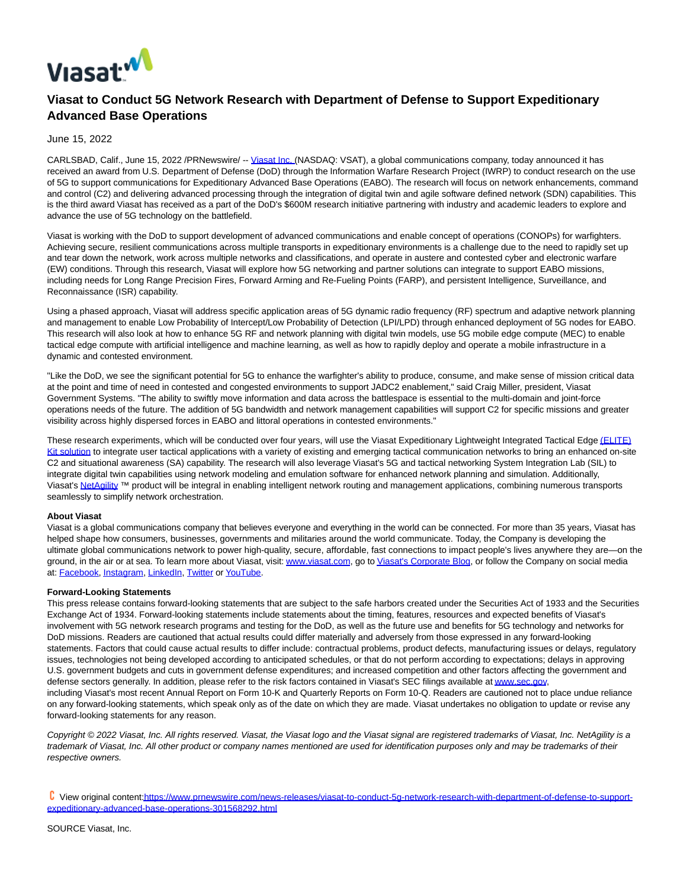

## **Viasat to Conduct 5G Network Research with Department of Defense to Support Expeditionary Advanced Base Operations**

June 15, 2022

CARLSBAD, Calif., June 15, 2022 /PRNewswire/ -- [Viasat Inc. \(N](https://c212.net/c/link/?t=0&l=en&o=3567692-1&h=615360407&u=https%3A%2F%2Fwww.viasat.com%2F&a=Viasat+Inc.%C2%A0)ASDAQ: VSAT), a global communications company, today announced it has received an award from U.S. Department of Defense (DoD) through the Information Warfare Research Project (IWRP) to conduct research on the use of 5G to support communications for Expeditionary Advanced Base Operations (EABO). The research will focus on network enhancements, command and control (C2) and delivering advanced processing through the integration of digital twin and agile software defined network (SDN) capabilities. This is the third award Viasat has received as a part of the DoD's \$600M research initiative partnering with industry and academic leaders to explore and advance the use of 5G technology on the battlefield.

Viasat is working with the DoD to support development of advanced communications and enable concept of operations (CONOPs) for warfighters. Achieving secure, resilient communications across multiple transports in expeditionary environments is a challenge due to the need to rapidly set up and tear down the network, work across multiple networks and classifications, and operate in austere and contested cyber and electronic warfare (EW) conditions. Through this research, Viasat will explore how 5G networking and partner solutions can integrate to support EABO missions, including needs for Long Range Precision Fires, Forward Arming and Re-Fueling Points (FARP), and persistent Intelligence, Surveillance, and Reconnaissance (ISR) capability.

Using a phased approach, Viasat will address specific application areas of 5G dynamic radio frequency (RF) spectrum and adaptive network planning and management to enable Low Probability of Intercept/Low Probability of Detection (LPI/LPD) through enhanced deployment of 5G nodes for EABO. This research will also look at how to enhance 5G RF and network planning with digital twin models, use 5G mobile edge compute (MEC) to enable tactical edge compute with artificial intelligence and machine learning, as well as how to rapidly deploy and operate a mobile infrastructure in a dynamic and contested environment.

"Like the DoD, we see the significant potential for 5G to enhance the warfighter's ability to produce, consume, and make sense of mission critical data at the point and time of need in contested and congested environments to support JADC2 enablement," said Craig Miller, president, Viasat Government Systems. "The ability to swiftly move information and data across the battlespace is essential to the multi-domain and joint-force operations needs of the future. The addition of 5G bandwidth and network management capabilities will support C2 for specific missions and greater visibility across highly dispersed forces in EABO and littoral operations in contested environments."

These research experiments, which will be conducted over four years, will use the Viasat Expeditionary Lightweight Integrated Tactical Edg[e \(ELITE\)](https://c212.net/c/link/?t=0&l=en&o=3567692-1&h=4107793172&u=https%3A%2F%2Fc212.net%2Fc%2Flink%2F%3Ft%3D0%26l%3Den%26o%3D3295103-1%26h%3D2110082536%26u%3Dhttps%253A%252F%252Fwww.viasat.com%252Fproducts%252Fsoftware-and-services%252Fmobile-integrated-solutions%252F%26a%3D(ELITE)%2BKit%2Bsolution&a=(ELITE)+Kit+solution) Kit solution to integrate user tactical applications with a variety of existing and emerging tactical communication networks to bring an enhanced on-site C2 and situational awareness (SA) capability. The research will also leverage Viasat's 5G and tactical networking System Integration Lab (SIL) to integrate digital twin capabilities using network modeling and emulation software for enhanced network planning and simulation. Additionally, Viasat's [NetAgility](https://c212.net/c/link/?t=0&l=en&o=3567692-1&h=762464536&u=https%3A%2F%2Fwww.viasat.com%2Fproducts%2Fsoftware-and-services%2Fnetagility%2F&a=NetAgility) ™ product will be integral in enabling intelligent network routing and management applications, combining numerous transports seamlessly to simplify network orchestration.

## **About Viasat**

Viasat is a global communications company that believes everyone and everything in the world can be connected. For more than 35 years, Viasat has helped shape how consumers, businesses, governments and militaries around the world communicate. Today, the Company is developing the ultimate global communications network to power high-quality, secure, affordable, fast connections to impact people's lives anywhere they are—on the ground, in the air or at sea. To learn more about Viasat, visit[: www.viasat.com,](https://c212.net/c/link/?t=0&l=en&o=3567692-1&h=666185994&u=http%3A%2F%2Fwww.viasat.com%2F&a=www.viasat.com) go t[o Viasat's Corporate Blog,](https://c212.net/c/link/?t=0&l=en&o=3567692-1&h=4215120448&u=https%3A%2F%2Fcorpblog.viasat.com%2F&a=Viasat%27s%C2%A0Corporate+Blog) or follow the Company on social media at: [Facebook,](https://c212.net/c/link/?t=0&l=en&o=3567692-1&h=2482173937&u=https%3A%2F%2Fwww.facebook.com%2FViaSat&a=Facebook) [Instagram,](https://c212.net/c/link/?t=0&l=en&o=3567692-1&h=3317214044&u=https%3A%2F%2Fwww.instagram.com%2Fviasatinc%2F&a=Instagram) [LinkedIn,](https://c212.net/c/link/?t=0&l=en&o=3567692-1&h=1498847563&u=https%3A%2F%2Fwww.linkedin.com%2Fcompany%2Fviasat&a=LinkedIn) [Twitter o](https://c212.net/c/link/?t=0&l=en&o=3567692-1&h=3708135195&u=https%3A%2F%2Ftwitter.com%2FViaSatInc&a=Twitter)[r YouTube.](https://c212.net/c/link/?t=0&l=en&o=3567692-1&h=3809289235&u=https%3A%2F%2Fwww.youtube.com%2Fuser%2FViaSatInc&a=YouTube)

## **Forward-Looking Statements**

This press release contains forward-looking statements that are subject to the safe harbors created under the Securities Act of 1933 and the Securities Exchange Act of 1934. Forward-looking statements include statements about the timing, features, resources and expected benefits of Viasat's involvement with 5G network research programs and testing for the DoD, as well as the future use and benefits for 5G technology and networks for DoD missions. Readers are cautioned that actual results could differ materially and adversely from those expressed in any forward-looking statements. Factors that could cause actual results to differ include: contractual problems, product defects, manufacturing issues or delays, regulatory issues, technologies not being developed according to anticipated schedules, or that do not perform according to expectations; delays in approving U.S. government budgets and cuts in government defense expenditures; and increased competition and other factors affecting the government and defense sectors generally. In addition, please refer to the risk factors contained in Viasat's SEC filings available at www.sec.gov. including Viasat's most recent Annual Report on Form 10-K and Quarterly Reports on Form 10-Q. Readers are cautioned not to place undue reliance on any forward-looking statements, which speak only as of the date on which they are made. Viasat undertakes no obligation to update or revise any forward-looking statements for any reason.

Copyright © 2022 Viasat, Inc. All rights reserved. Viasat, the Viasat logo and the Viasat signal are registered trademarks of Viasat, Inc. NetAgility is a trademark of Viasat, Inc. All other product or company names mentioned are used for identification purposes only and may be trademarks of their respective owners.

 View original conten[t:https://www.prnewswire.com/news-releases/viasat-to-conduct-5g-network-research-with-department-of-defense-to-support](https://www.prnewswire.com/news-releases/viasat-to-conduct-5g-network-research-with-department-of-defense-to-support-expeditionary-advanced-base-operations-301568292.html)expeditionary-advanced-base-operations-301568292.html